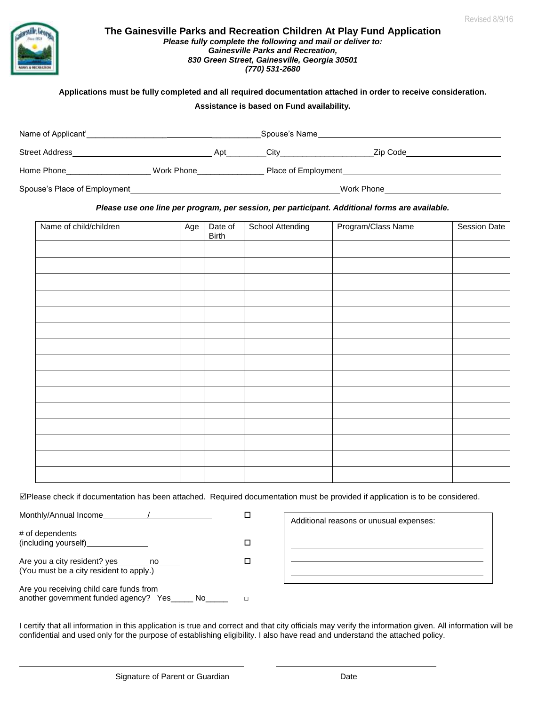

#### **The Gainesville Parks and Recreation Children At Play Fund Application** *Please fully complete the following and mail or deliver to: Gainesville Parks and Recreation, 830 Green Street, Gainesville, Georgia 30501 (770) 531-2680*

#### **Applications must be fully completed and all required documentation attached in order to receive consideration.**

#### **Assistance is based on Fund availability.**

| Name of Applicant'           |            | Spouse's Name       |          |
|------------------------------|------------|---------------------|----------|
| <b>Street Address</b>        | Apt        | City                | Zip Code |
| Home Phone                   | Work Phone | Place of Employment |          |
| Spouse's Place of Employment |            | Work Phone          |          |

#### *Please use one line per program, per session, per participant. Additional forms are available.*

| Name of child/children | Age | Date of<br>Birth | <b>School Attending</b> | Program/Class Name | <b>Session Date</b> |
|------------------------|-----|------------------|-------------------------|--------------------|---------------------|
|                        |     |                  |                         |                    |                     |
|                        |     |                  |                         |                    |                     |
|                        |     |                  |                         |                    |                     |
|                        |     |                  |                         |                    |                     |
|                        |     |                  |                         |                    |                     |
|                        |     |                  |                         |                    |                     |
|                        |     |                  |                         |                    |                     |
|                        |     |                  |                         |                    |                     |
|                        |     |                  |                         |                    |                     |
|                        |     |                  |                         |                    |                     |
|                        |     |                  |                         |                    |                     |
|                        |     |                  |                         |                    |                     |
|                        |     |                  |                         |                    |                     |
|                        |     |                  |                         |                    |                     |
|                        |     |                  |                         |                    |                     |

Please check if documentation has been attached. Required documentation must be provided if application is to be considered.

| Monthly/Annual Income                                                                   |  |
|-----------------------------------------------------------------------------------------|--|
| # of dependents<br>(including yourself)                                                 |  |
| Are you a city resident? yes<br>no.<br>(You must be a city resident to apply.)          |  |
| Are you receiving child care funds from<br>another government funded agency? Yes<br>No. |  |

| Additional reasons or unusual expenses: |
|-----------------------------------------|
|                                         |
|                                         |
|                                         |

I certify that all information in this application is true and correct and that city officials may verify the information given. All information will be confidential and used only for the purpose of establishing eligibility. I also have read and understand the attached policy.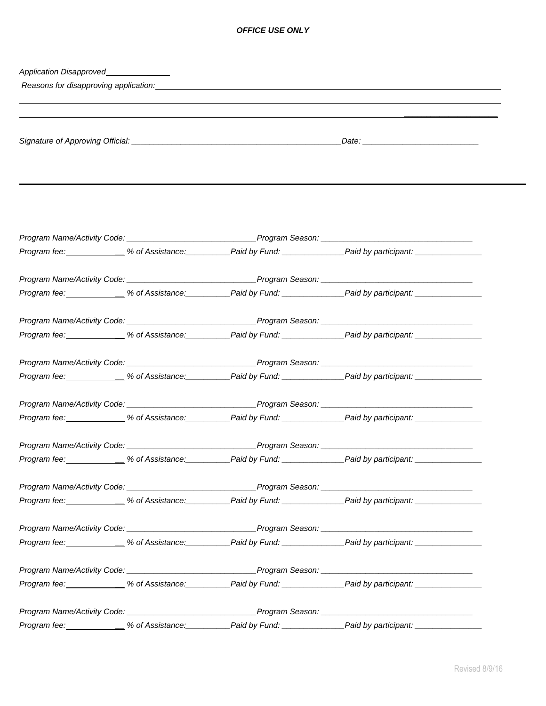### *OFFICE USE ONLY*

| Application Disapproved<br>Application Disapproved |  |                                                                                                                                                                                                                                |  |
|----------------------------------------------------|--|--------------------------------------------------------------------------------------------------------------------------------------------------------------------------------------------------------------------------------|--|
|                                                    |  | Reasons for disapproving application: example and an article of the control of the control of the control of the control of the control of the control of the control of the control of the control of the control of the cont |  |
|                                                    |  |                                                                                                                                                                                                                                |  |
|                                                    |  |                                                                                                                                                                                                                                |  |
|                                                    |  |                                                                                                                                                                                                                                |  |
|                                                    |  |                                                                                                                                                                                                                                |  |
|                                                    |  |                                                                                                                                                                                                                                |  |
|                                                    |  |                                                                                                                                                                                                                                |  |
|                                                    |  |                                                                                                                                                                                                                                |  |
|                                                    |  |                                                                                                                                                                                                                                |  |
|                                                    |  |                                                                                                                                                                                                                                |  |
|                                                    |  | Program fee: ____________% of Assistance: _________Paid by Fund: _______________Paid by participant: _______________                                                                                                           |  |
|                                                    |  | Program Name/Activity Code: ___________________________________Program Season: _______________________________                                                                                                                 |  |
|                                                    |  | Program fee: _____________ % of Assistance: __________Paid by Fund: _____________Paid by participant: ______________                                                                                                           |  |
|                                                    |  |                                                                                                                                                                                                                                |  |
|                                                    |  |                                                                                                                                                                                                                                |  |
|                                                    |  | Program fee: _____________ % of Assistance: __________Paid by Fund: _____________Paid by participant: ______________                                                                                                           |  |
|                                                    |  | Program Name/Activity Code: ___________________________________Program Season: _______________________________                                                                                                                 |  |
|                                                    |  | Program fee: _____________% of Assistance: _________Paid by Fund: ______________Paid by participant: ____________                                                                                                              |  |
|                                                    |  |                                                                                                                                                                                                                                |  |
|                                                    |  |                                                                                                                                                                                                                                |  |
|                                                    |  |                                                                                                                                                                                                                                |  |
|                                                    |  |                                                                                                                                                                                                                                |  |
|                                                    |  | Program fee: _____________% of Assistance: __________Paid by Fund: ______________Paid by participant: _______                                                                                                                  |  |
|                                                    |  |                                                                                                                                                                                                                                |  |
|                                                    |  | Program fee: \,\governamestic 2000 \,\governamestic 30 \,\governamestic 30 \,\governamestic 30 \,\governamestic 30 \,\governamestic 30 \,\governamestic 2000 \,\governamestic 30 \,\governamestic 30 \,\governamestic 30 \,\go |  |
|                                                    |  |                                                                                                                                                                                                                                |  |
|                                                    |  |                                                                                                                                                                                                                                |  |
|                                                    |  |                                                                                                                                                                                                                                |  |
|                                                    |  |                                                                                                                                                                                                                                |  |
|                                                    |  |                                                                                                                                                                                                                                |  |
|                                                    |  |                                                                                                                                                                                                                                |  |
|                                                    |  |                                                                                                                                                                                                                                |  |
|                                                    |  |                                                                                                                                                                                                                                |  |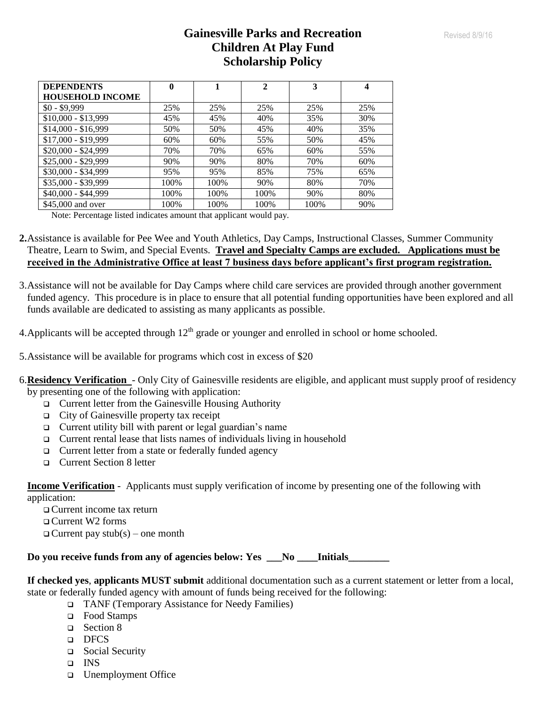# **Gainesville Parks and Recreation Children At Play Fund Scholarship Policy**

| <b>DEPENDENTS</b>       | 0    |      | $\mathbf{2}$ | 3    |     |
|-------------------------|------|------|--------------|------|-----|
| <b>HOUSEHOLD INCOME</b> |      |      |              |      |     |
| $$0 - $9.999$           | 25%  | 25%  | 25%          | 25%  | 25% |
| $$10,000 - $13,999$     | 45%  | 45%  | 40%          | 35%  | 30% |
| $$14,000 - $16,999$     | 50%  | 50%  | 45%          | 40%  | 35% |
| $$17,000 - $19,999$     | 60%  | 60%  | 55%          | 50%  | 45% |
| \$20,000 - \$24,999     | 70%  | 70%  | 65%          | 60%  | 55% |
| \$25,000 - \$29,999     | 90%  | 90%  | 80%          | 70%  | 60% |
| \$30,000 - \$34,999     | 95%  | 95%  | 85%          | 75%  | 65% |
| \$35,000 - \$39,999     | 100% | 100% | 90%          | 80%  | 70% |
| \$40,000 - \$44,999     | 100% | 100% | 100%         | 90%  | 80% |
| \$45,000 and over       | 100% | 100% | 100%         | 100% | 90% |

Note: Percentage listed indicates amount that applicant would pay.

- **2.**Assistance is available for Pee Wee and Youth Athletics, Day Camps, Instructional Classes, Summer Community Theatre, Learn to Swim, and Special Events. **Travel and Specialty Camps are excluded. Applications must be received in the Administrative Office at least 7 business days before applicant's first program registration.**
- 3.Assistance will not be available for Day Camps where child care services are provided through another government funded agency. This procedure is in place to ensure that all potential funding opportunities have been explored and all funds available are dedicated to assisting as many applicants as possible.
- 4. Applicants will be accepted through  $12<sup>th</sup>$  grade or younger and enrolled in school or home schooled.
- 5.Assistance will be available for programs which cost in excess of \$20
- 6.**Residency Verification**  Only City of Gainesville residents are eligible, and applicant must supply proof of residency by presenting one of the following with application:
	- Current letter from the Gainesville Housing Authority
	- City of Gainesville property tax receipt
	- $\Box$  Current utility bill with parent or legal guardian's name
	- $\Box$  Current rental lease that lists names of individuals living in household
	- □ Current letter from a state or federally funded agency
	- **Q** Current Section 8 letter

**Income Verification** - Applicants must supply verification of income by presenting one of the following with application:

 Current income tax return Current W2 forms  $\Box$  Current pay stub(s) – one month

**Do you receive funds from any of agencies below: Yes \_\_\_No \_\_\_\_Initials\_\_\_\_\_\_\_\_**

**If checked yes**, **applicants MUST submit** additional documentation such as a current statement or letter from a local, state or federally funded agency with amount of funds being received for the following:

- TANF (Temporary Assistance for Needy Families)
- □ Food Stamps
- □ Section 8
- DFCS
- □ Social Security
- INS
- □ Unemployment Office